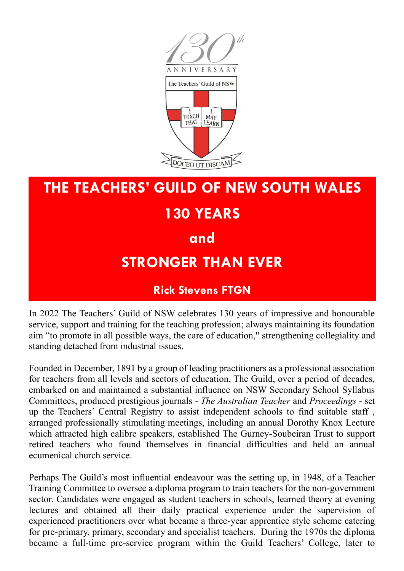



In 2022 The Teachers' Guild of NSW celebrates 130 years of impressive and honourable service, support and training for the teaching profession; always maintaining its foundation aim "to promote in all possible ways, the care of education," strengthening collegiality and standing detached from industrial issues.

Founded in December, 1891 by a group of leading practitioners as a professional association for teachers from all levels and sectors of education, The Guild, over a period of decades, embarked on and maintained a substantial influence on NSW Secondary School Syllabus Committees, produced prestigious journals - *The Australian Teacher* and *Proceedings* - set up the Teachers' Central Registry to assist independent schools to find suitable staff , arranged professionally stimulating meetings, including an annual Dorothy Knox Lecture which attracted high calibre speakers, established The Gurney-Soubeiran Trust to support retired teachers who found themselves in financial difficulties and held an annual ecumenical church service.

Perhaps The Guild's most influential endeavour was the setting up, in 1948, of a Teacher Training Committee to oversee a diploma program to train teachers for the non-government sector. Candidates were engaged as student teachers in schools, learned theory at evening lectures and obtained all their daily practical experience under the supervision of experienced practitioners over what became a three-year apprentice style scheme catering for pre-primary, primary, secondary and specialist teachers. During the 1970s the diploma became a full-time pre-service program within the Guild Teachers' College, later to